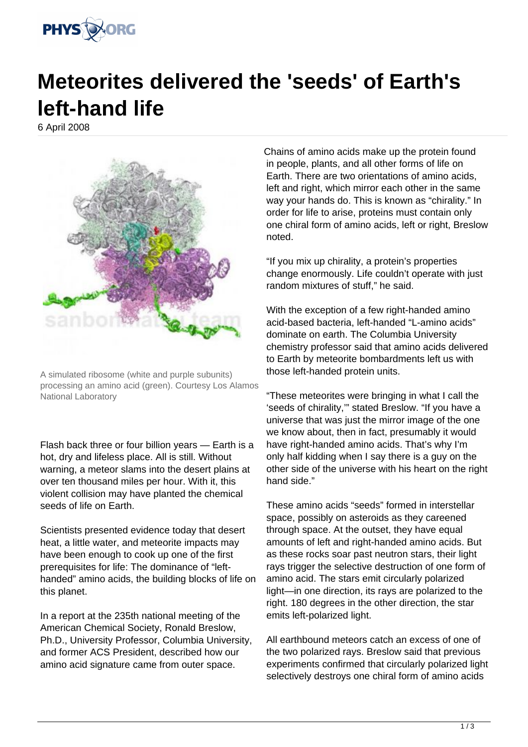

## **Meteorites delivered the 'seeds' of Earth's left-hand life**

6 April 2008



A simulated ribosome (white and purple subunits) processing an amino acid (green). Courtesy Los Alamos National Laboratory

Flash back three or four billion years — Earth is a hot, dry and lifeless place. All is still. Without warning, a meteor slams into the desert plains at over ten thousand miles per hour. With it, this violent collision may have planted the chemical seeds of life on Earth.

Scientists presented evidence today that desert heat, a little water, and meteorite impacts may have been enough to cook up one of the first prerequisites for life: The dominance of "lefthanded" amino acids, the building blocks of life on this planet.

In a report at the 235th national meeting of the American Chemical Society, Ronald Breslow, Ph.D., University Professor, Columbia University, and former ACS President, described how our amino acid signature came from outer space.

Chains of amino acids make up the protein found in people, plants, and all other forms of life on Earth. There are two orientations of amino acids, left and right, which mirror each other in the same way your hands do. This is known as "chirality." In order for life to arise, proteins must contain only one chiral form of amino acids, left or right, Breslow noted.

"If you mix up chirality, a protein's properties change enormously. Life couldn't operate with just random mixtures of stuff," he said.

With the exception of a few right-handed amino acid-based bacteria, left-handed "L-amino acids" dominate on earth. The Columbia University chemistry professor said that amino acids delivered to Earth by meteorite bombardments left us with those left-handed protein units.

"These meteorites were bringing in what I call the 'seeds of chirality,'" stated Breslow. "If you have a universe that was just the mirror image of the one we know about, then in fact, presumably it would have right-handed amino acids. That's why I'm only half kidding when I say there is a guy on the other side of the universe with his heart on the right hand side."

These amino acids "seeds" formed in interstellar space, possibly on asteroids as they careened through space. At the outset, they have equal amounts of left and right-handed amino acids. But as these rocks soar past neutron stars, their light rays trigger the selective destruction of one form of amino acid. The stars emit circularly polarized light—in one direction, its rays are polarized to the right. 180 degrees in the other direction, the star emits left-polarized light.

All earthbound meteors catch an excess of one of the two polarized rays. Breslow said that previous experiments confirmed that circularly polarized light selectively destroys one chiral form of amino acids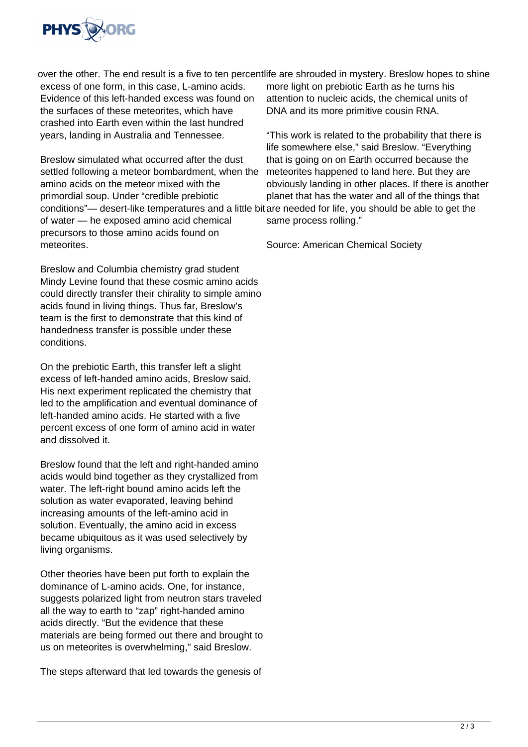

excess of one form, in this case, L-amino acids. Evidence of this left-handed excess was found on the surfaces of these meteorites, which have crashed into Earth even within the last hundred years, landing in Australia and Tennessee.

Breslow simulated what occurred after the dust settled following a meteor bombardment, when the amino acids on the meteor mixed with the primordial soup. Under "credible prebiotic conditions"— desert-like temperatures and a little bit are needed for life, you should be able to get the of water — he exposed amino acid chemical precursors to those amino acids found on meteorites.

Breslow and Columbia chemistry grad student Mindy Levine found that these cosmic amino acids could directly transfer their chirality to simple amino acids found in living things. Thus far, Breslow's team is the first to demonstrate that this kind of handedness transfer is possible under these conditions.

On the prebiotic Earth, this transfer left a slight excess of left-handed amino acids, Breslow said. His next experiment replicated the chemistry that led to the amplification and eventual dominance of left-handed amino acids. He started with a five percent excess of one form of amino acid in water and dissolved it.

Breslow found that the left and right-handed amino acids would bind together as they crystallized from water. The left-right bound amino acids left the solution as water evaporated, leaving behind increasing amounts of the left-amino acid in solution. Eventually, the amino acid in excess became ubiquitous as it was used selectively by living organisms.

Other theories have been put forth to explain the dominance of L-amino acids. One, for instance, suggests polarized light from neutron stars traveled all the way to earth to "zap" right-handed amino acids directly. "But the evidence that these materials are being formed out there and brought to us on meteorites is overwhelming," said Breslow.

The steps afterward that led towards the genesis of

over the other. The end result is a five to ten percent life are shrouded in mystery. Breslow hopes to shine more light on prebiotic Earth as he turns his attention to nucleic acids, the chemical units of DNA and its more primitive cousin RNA.

> "This work is related to the probability that there is life somewhere else," said Breslow. "Everything that is going on on Earth occurred because the meteorites happened to land here. But they are obviously landing in other places. If there is another planet that has the water and all of the things that same process rolling."

Source: American Chemical Society